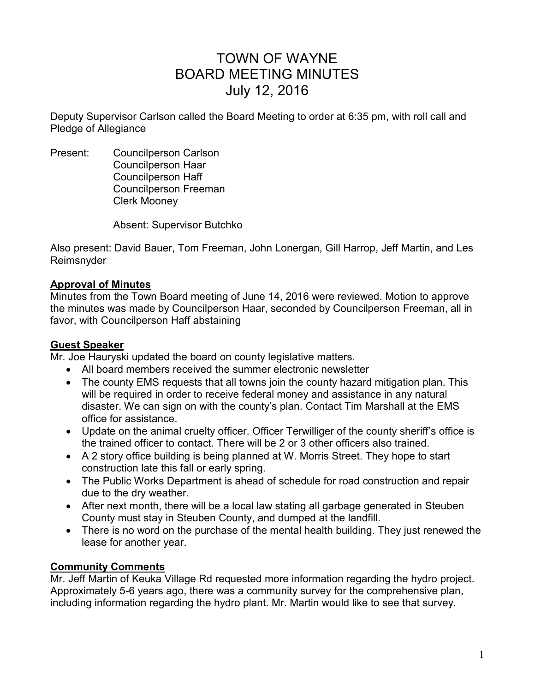# TOWN OF WAYNE BOARD MEETING MINUTES July 12, 2016

Deputy Supervisor Carlson called the Board Meeting to order at 6:35 pm, with roll call and Pledge of Allegiance

Present: Councilperson Carlson Councilperson Haar Councilperson Haff Councilperson Freeman Clerk Mooney

Absent: Supervisor Butchko

Also present: David Bauer, Tom Freeman, John Lonergan, Gill Harrop, Jeff Martin, and Les Reimsnyder

## **Approval of Minutes**

Minutes from the Town Board meeting of June 14, 2016 were reviewed. Motion to approve the minutes was made by Councilperson Haar, seconded by Councilperson Freeman, all in favor, with Councilperson Haff abstaining

## **Guest Speaker**

Mr. Joe Hauryski updated the board on county legislative matters.

- All board members received the summer electronic newsletter
- The county EMS requests that all towns join the county hazard mitigation plan. This will be required in order to receive federal money and assistance in any natural disaster. We can sign on with the county's plan. Contact Tim Marshall at the EMS office for assistance.
- Update on the animal cruelty officer. Officer Terwilliger of the county sheriff's office is the trained officer to contact. There will be 2 or 3 other officers also trained.
- A 2 story office building is being planned at W. Morris Street. They hope to start construction late this fall or early spring.
- The Public Works Department is ahead of schedule for road construction and repair due to the dry weather.
- After next month, there will be a local law stating all garbage generated in Steuben County must stay in Steuben County, and dumped at the landfill.
- There is no word on the purchase of the mental health building. They just renewed the lease for another year.

## **Community Comments**

Mr. Jeff Martin of Keuka Village Rd requested more information regarding the hydro project. Approximately 5-6 years ago, there was a community survey for the comprehensive plan, including information regarding the hydro plant. Mr. Martin would like to see that survey.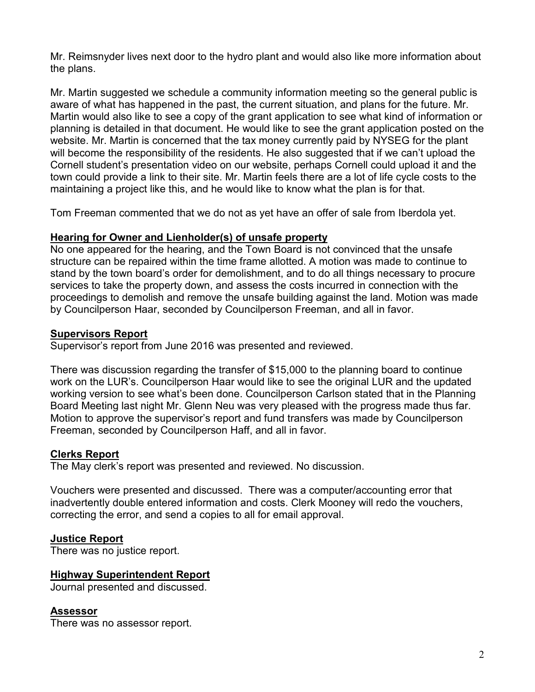Mr. Reimsnyder lives next door to the hydro plant and would also like more information about the plans.

Mr. Martin suggested we schedule a community information meeting so the general public is aware of what has happened in the past, the current situation, and plans for the future. Mr. Martin would also like to see a copy of the grant application to see what kind of information or planning is detailed in that document. He would like to see the grant application posted on the website. Mr. Martin is concerned that the tax money currently paid by NYSEG for the plant will become the responsibility of the residents. He also suggested that if we can't upload the Cornell student's presentation video on our website, perhaps Cornell could upload it and the town could provide a link to their site. Mr. Martin feels there are a lot of life cycle costs to the maintaining a project like this, and he would like to know what the plan is for that.

Tom Freeman commented that we do not as yet have an offer of sale from Iberdola yet.

## **Hearing for Owner and Lienholder(s) of unsafe property**

No one appeared for the hearing, and the Town Board is not convinced that the unsafe structure can be repaired within the time frame allotted. A motion was made to continue to stand by the town board's order for demolishment, and to do all things necessary to procure services to take the property down, and assess the costs incurred in connection with the proceedings to demolish and remove the unsafe building against the land. Motion was made by Councilperson Haar, seconded by Councilperson Freeman, and all in favor.

## **Supervisors Report**

Supervisor's report from June 2016 was presented and reviewed.

There was discussion regarding the transfer of \$15,000 to the planning board to continue work on the LUR's. Councilperson Haar would like to see the original LUR and the updated working version to see what's been done. Councilperson Carlson stated that in the Planning Board Meeting last night Mr. Glenn Neu was very pleased with the progress made thus far. Motion to approve the supervisor's report and fund transfers was made by Councilperson Freeman, seconded by Councilperson Haff, and all in favor.

## **Clerks Report**

The May clerk's report was presented and reviewed. No discussion.

Vouchers were presented and discussed. There was a computer/accounting error that inadvertently double entered information and costs. Clerk Mooney will redo the vouchers, correcting the error, and send a copies to all for email approval.

## **Justice Report**

There was no justice report.

## **Highway Superintendent Report**

Journal presented and discussed.

#### **Assessor**

There was no assessor report.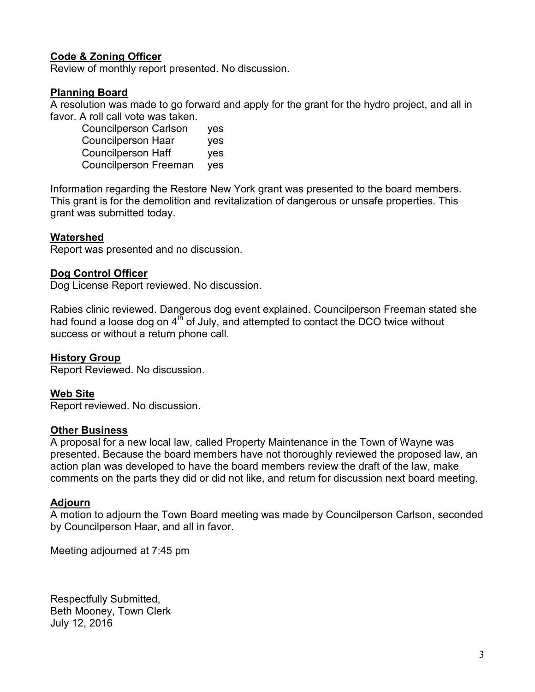## **Code & Zoning Officer**

Review of monthly report presented. No discussion.

## **Planning Board**

A resolution was made to go forward and apply for the grant for the hydro project, and all in favor. A roll call vote was taken.

 Councilperson Carlson yes Councilperson Haar yes Councilperson Haff yes Councilperson Freeman yes

Information regarding the Restore New York grant was presented to the board members. This grant is for the demolition and revitalization of dangerous or unsafe properties. This grant was submitted today.

## **Watershed**

Report was presented and no discussion.

## **Dog Control Officer**

Dog License Report reviewed. No discussion.

Rabies clinic reviewed. Dangerous dog event explained. Councilperson Freeman stated she had found a loose dog on  $4<sup>th</sup>$  of July, and attempted to contact the DCO twice without success or without a return phone call.

## **History Group**

Report Reviewed. No discussion.

## **Web Site**

Report reviewed. No discussion.

## **Other Business**

A proposal for a new local law, called Property Maintenance in the Town of Wayne was presented. Because the board members have not thoroughly reviewed the proposed law, an action plan was developed to have the board members review the draft of the law, make comments on the parts they did or did not like, and return for discussion next board meeting.

## **Adjourn**

A motion to adjourn the Town Board meeting was made by Councilperson Carlson, seconded by Councilperson Haar, and all in favor.

Meeting adjourned at 7:45 pm

Respectfully Submitted, Beth Mooney, Town Clerk July 12, 2016